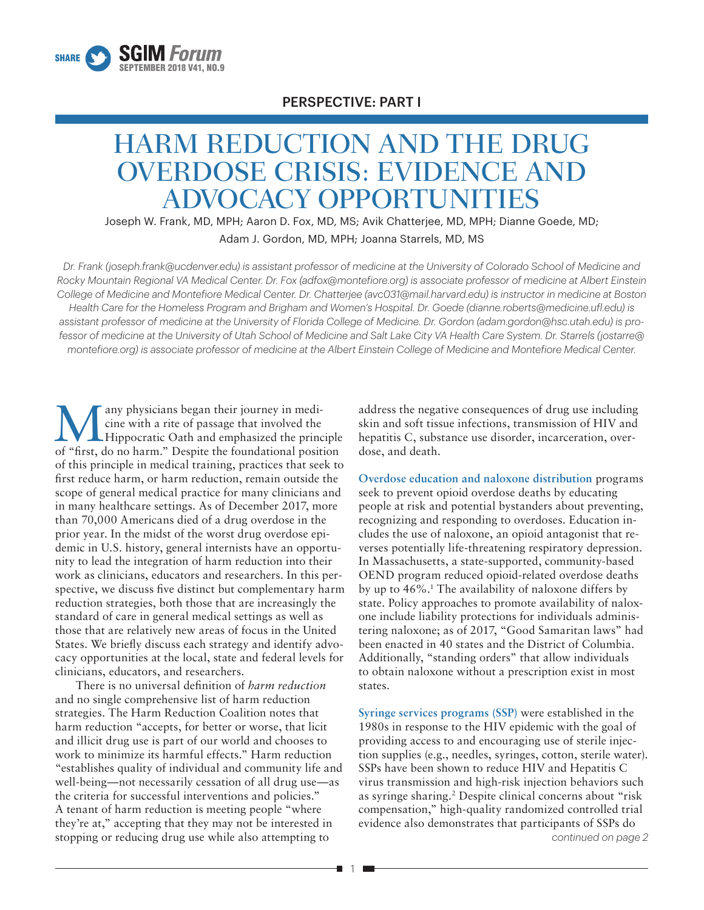

# PERSPECTIVE: PART I

# HARM REDUCTION AND THE DRUG OVERDOSE CRISIS: EVIDENCE AND ADVOCACY OPPORTUNITIES

Joseph W. Frank, MD, MPH; Aaron D. Fox, MD, MS; Avik Chatterjee, MD, MPH; Dianne Goede, MD; Adam J. Gordon, MD, MPH; Joanna Starrels, MD, MS

*Dr. Frank (joseph.frank@ucdenver.edu) is assistant professor of medicine at the University of Colorado School of Medicine and Rocky Mountain Regional VA Medical Center. Dr. Fox (adfox@montefiore.org) is associate professor of medicine at Albert Einstein College of Medicine and Montefiore Medical Center. Dr. Chatterjee (avc031@mail.harvard.edu) is instructor in medicine at Boston Health Care for the Homeless Program and Brigham and Women's Hospital. Dr. Goede (dianne.roberts@medicine.ufl.edu) is assistant professor of medicine at the University of Florida College of Medicine. Dr. Gordon (adam.gordon@hsc.utah.edu) is professor of medicine at the University of Utah School of Medicine and Salt Lake City VA Health Care System. Dr. Starrels (jostarre@ montefiore.org) is associate professor of medicine at the Albert Einstein College of Medicine and Montefiore Medical Center.*

Many physicians began their journey in medicine with a rite of passage that involved the Hippocratic Oath and emphasized the princ cine with a rite of passage that involved the Hippocratic Oath and emphasized the principle of "first, do no harm." Despite the foundational position of this principle in medical training, practices that seek to first reduce harm, or harm reduction, remain outside the scope of general medical practice for many clinicians and in many healthcare settings. As of December 2017, more than 70,000 Americans died of a drug overdose in the prior year. In the midst of the worst drug overdose epidemic in U.S. history, general internists have an opportunity to lead the integration of harm reduction into their work as clinicians, educators and researchers. In this perspective, we discuss five distinct but complementary harm reduction strategies, both those that are increasingly the standard of care in general medical settings as well as those that are relatively new areas of focus in the United States. We briefly discuss each strategy and identify advocacy opportunities at the local, state and federal levels for clinicians, educators, and researchers.

There is no universal definition of *harm reduction* and no single comprehensive list of harm reduction strategies. The Harm Reduction Coalition notes that harm reduction "accepts, for better or worse, that licit and illicit drug use is part of our world and chooses to work to minimize its harmful effects." Harm reduction "establishes quality of individual and community life and well-being—not necessarily cessation of all drug use—as the criteria for successful interventions and policies." A tenant of harm reduction is meeting people "where they're at," accepting that they may not be interested in stopping or reducing drug use while also attempting to

address the negative consequences of drug use including skin and soft tissue infections, transmission of HIV and hepatitis C, substance use disorder, incarceration, overdose, and death.

**Overdose education and naloxone distribution** programs seek to prevent opioid overdose deaths by educating people at risk and potential bystanders about preventing, recognizing and responding to overdoses. Education includes the use of naloxone, an opioid antagonist that reverses potentially life-threatening respiratory depression. In Massachusetts, a state-supported, community-based OEND program reduced opioid-related overdose deaths by up to 46%.1 The availability of naloxone differs by state. Policy approaches to promote availability of naloxone include liability protections for individuals administering naloxone; as of 2017, "Good Samaritan laws" had been enacted in 40 states and the District of Columbia. Additionally, "standing orders" that allow individuals to obtain naloxone without a prescription exist in most states.

*continued on page 2* **Syringe services programs (SSP)** were established in the 1980s in response to the HIV epidemic with the goal of providing access to and encouraging use of sterile injection supplies (e.g., needles, syringes, cotton, sterile water). SSPs have been shown to reduce HIV and Hepatitis C virus transmission and high-risk injection behaviors such as syringe sharing.2 Despite clinical concerns about "risk compensation," high-quality randomized controlled trial evidence also demonstrates that participants of SSPs do

г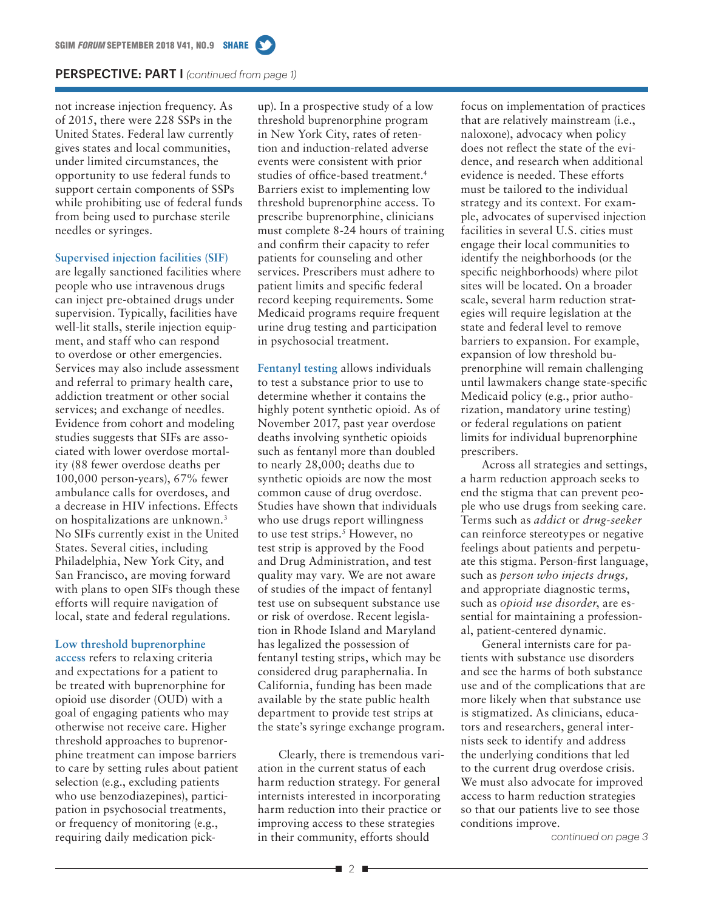### PERSPECTIVE: PART I *(continued from page 1)*

not increase injection frequency. As of 2015, there were 228 SSPs in the United States. Federal law currently gives states and local communities, under limited circumstances, the opportunity to use federal funds to support certain components of SSPs while prohibiting use of federal funds from being used to purchase sterile needles or syringes.

#### **Supervised injection facilities (SIF)**

are legally sanctioned facilities where people who use intravenous drugs can inject pre-obtained drugs under supervision. Typically, facilities have well-lit stalls, sterile injection equipment, and staff who can respond to overdose or other emergencies. Services may also include assessment and referral to primary health care, addiction treatment or other social services; and exchange of needles. Evidence from cohort and modeling studies suggests that SIFs are associated with lower overdose mortality (88 fewer overdose deaths per 100,000 person-years), 67% fewer ambulance calls for overdoses, and a decrease in HIV infections. Effects on hospitalizations are unknown.3 No SIFs currently exist in the United States. Several cities, including Philadelphia, New York City, and San Francisco, are moving forward with plans to open SIFs though these efforts will require navigation of local, state and federal regulations.

# **Low threshold buprenorphine**

**access** refers to relaxing criteria and expectations for a patient to be treated with buprenorphine for opioid use disorder (OUD) with a goal of engaging patients who may otherwise not receive care. Higher threshold approaches to buprenorphine treatment can impose barriers to care by setting rules about patient selection (e.g., excluding patients who use benzodiazepines), participation in psychosocial treatments, or frequency of monitoring (e.g., requiring daily medication pick-

up). In a prospective study of a low threshold buprenorphine program in New York City, rates of retention and induction-related adverse events were consistent with prior studies of office-based treatment.<sup>4</sup> Barriers exist to implementing low threshold buprenorphine access. To prescribe buprenorphine, clinicians must complete 8-24 hours of training and confirm their capacity to refer patients for counseling and other services. Prescribers must adhere to patient limits and specific federal record keeping requirements. Some Medicaid programs require frequent urine drug testing and participation in psychosocial treatment.

**Fentanyl testing** allows individuals to test a substance prior to use to determine whether it contains the highly potent synthetic opioid. As of November 2017, past year overdose deaths involving synthetic opioids such as fentanyl more than doubled to nearly 28,000; deaths due to synthetic opioids are now the most common cause of drug overdose. Studies have shown that individuals who use drugs report willingness to use test strips.<sup>5</sup> However, no test strip is approved by the Food and Drug Administration, and test quality may vary. We are not aware of studies of the impact of fentanyl test use on subsequent substance use or risk of overdose. Recent legislation in Rhode Island and Maryland has legalized the possession of fentanyl testing strips, which may be considered drug paraphernalia. In California, funding has been made available by the state public health department to provide test strips at the state's syringe exchange program.

Clearly, there is tremendous variation in the current status of each harm reduction strategy. For general internists interested in incorporating harm reduction into their practice or improving access to these strategies in their community, efforts should

focus on implementation of practices that are relatively mainstream (i.e., naloxone), advocacy when policy does not reflect the state of the evidence, and research when additional evidence is needed. These efforts must be tailored to the individual strategy and its context. For example, advocates of supervised injection facilities in several U.S. cities must engage their local communities to identify the neighborhoods (or the specific neighborhoods) where pilot sites will be located. On a broader scale, several harm reduction strategies will require legislation at the state and federal level to remove barriers to expansion. For example, expansion of low threshold buprenorphine will remain challenging until lawmakers change state-specific Medicaid policy (e.g., prior authorization, mandatory urine testing) or federal regulations on patient limits for individual buprenorphine prescribers.

Across all strategies and settings, a harm reduction approach seeks to end the stigma that can prevent people who use drugs from seeking care. Terms such as *addict* or *drug-seeker* can reinforce stereotypes or negative feelings about patients and perpetuate this stigma. Person-first language, such as *person who injects drugs,* and appropriate diagnostic terms, such as *opioid use disorder*, are essential for maintaining a professional, patient-centered dynamic.

General internists care for patients with substance use disorders and see the harms of both substance use and of the complications that are more likely when that substance use is stigmatized. As clinicians, educators and researchers, general internists seek to identify and address the underlying conditions that led to the current drug overdose crisis. We must also advocate for improved access to harm reduction strategies so that our patients live to see those conditions improve.

*continued on page 3*